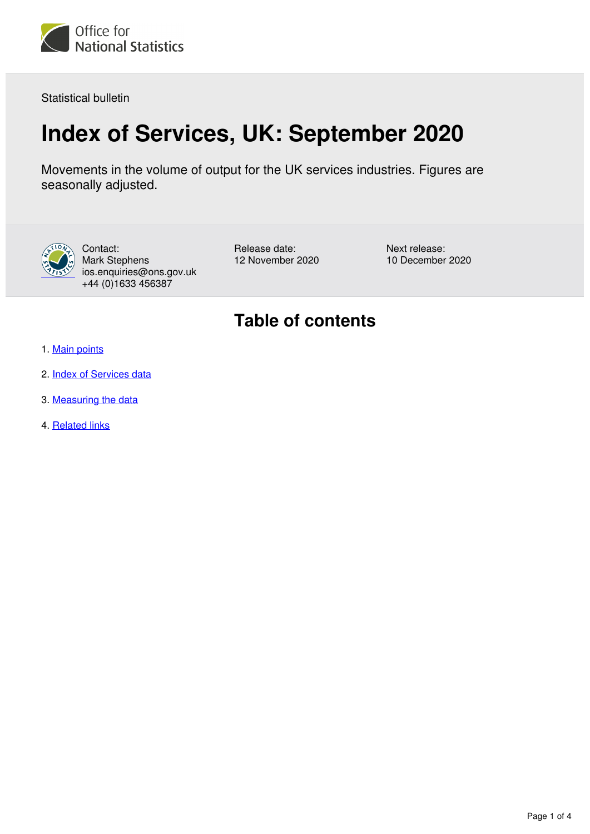

Statistical bulletin

# **Index of Services, UK: September 2020**

Movements in the volume of output for the UK services industries. Figures are seasonally adjusted.



Contact: Mark Stephens ios.enquiries@ons.gov.uk +44 (0)1633 456387

Release date: 12 November 2020 Next release: 10 December 2020

## **Table of contents**

- 1. [Main points](#page-1-0)
- 2. [Index of Services data](#page-1-1)
- 3. [Measuring the data](#page-1-2)
- 4. [Related links](#page-3-0)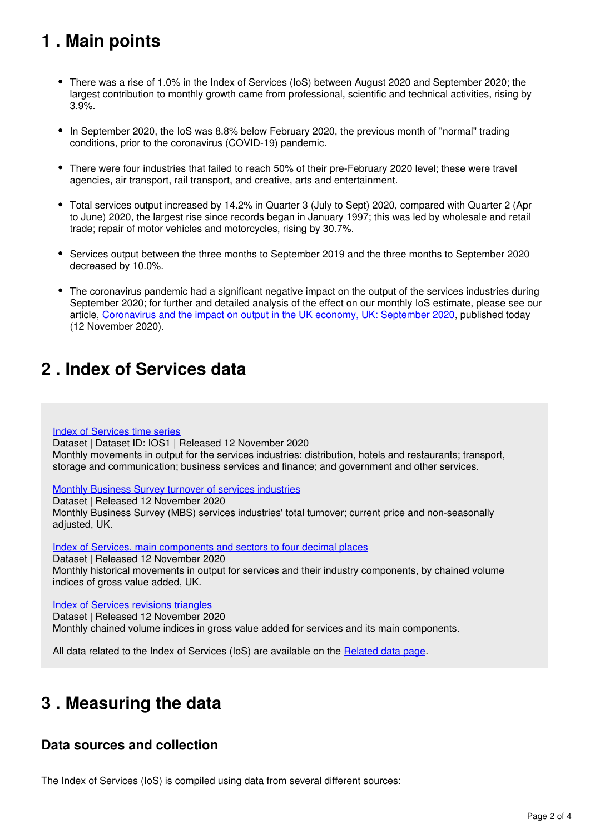## <span id="page-1-0"></span>**1 . Main points**

- There was a rise of 1.0% in the Index of Services (IoS) between August 2020 and September 2020; the largest contribution to monthly growth came from professional, scientific and technical activities, rising by 3.9%.
- In September 2020, the IoS was 8.8% below February 2020, the previous month of "normal" trading conditions, prior to the coronavirus (COVID-19) pandemic.
- There were four industries that failed to reach 50% of their pre-February 2020 level; these were travel agencies, air transport, rail transport, and creative, arts and entertainment.
- Total services output increased by 14.2% in Quarter 3 (July to Sept) 2020, compared with Quarter 2 (Apr to June) 2020, the largest rise since records began in January 1997; this was led by wholesale and retail trade; repair of motor vehicles and motorcycles, rising by 30.7%.
- Services output between the three months to September 2019 and the three months to September 2020 decreased by 10.0%.
- The coronavirus pandemic had a significant negative impact on the output of the services industries during September 2020; for further and detailed analysis of the effect on our monthly IoS estimate, please see our article, [Coronavirus and the impact on output in the UK economy, UK: September 2020](https://www.ons.gov.uk/economy/grossdomesticproductgdp/articles/coronavirusandtheimpactonoutputintheukeconomy/september2020), published today (12 November 2020).

## <span id="page-1-1"></span>**2 . Index of Services data**

#### [Index of Services time series](https://www.ons.gov.uk/economy/economicoutputandproductivity/output/datasets/indexofservices)

Dataset | Dataset ID: IOS1 | Released 12 November 2020 Monthly movements in output for the services industries: distribution, hotels and restaurants; transport, storage and communication; business services and finance; and government and other services.

### [Monthly Business Survey turnover of services industries](https://www.ons.gov.uk/economy/economicoutputandproductivity/output/datasets/monthlybusinesssurveymbsturnoverofservicesindustries)

Dataset | Released 12 November 2020

Monthly Business Survey (MBS) services industries' total turnover; current price and non-seasonally adjusted, UK.

[Index of Services, main components and sectors to four decimal places](https://www.ons.gov.uk/economy/economicoutputandproductivity/output/datasets/indexofservicesandmaincomponentsto4dp)

Dataset | Released 12 November 2020

Monthly historical movements in output for services and their industry components, by chained volume indices of gross value added, UK.

### [Index of Services revisions triangles](https://www.ons.gov.uk/economy/economicoutputandproductivity/output/datasets/indexofservicesrevisionstriangles)

Dataset | Released 12 November 2020 Monthly chained volume indices in gross value added for services and its main components.

All data related to the Index of Services (IoS) are available on the Related data page[.](https://www.ons.gov.uk/economy/economicoutputandproductivity/output/bulletins/indexofservices/may2020/relateddata)

## <span id="page-1-2"></span>**3 . Measuring the data**

### **Data sources and collection**

The Index of Services (IoS) is compiled using data from several different sources: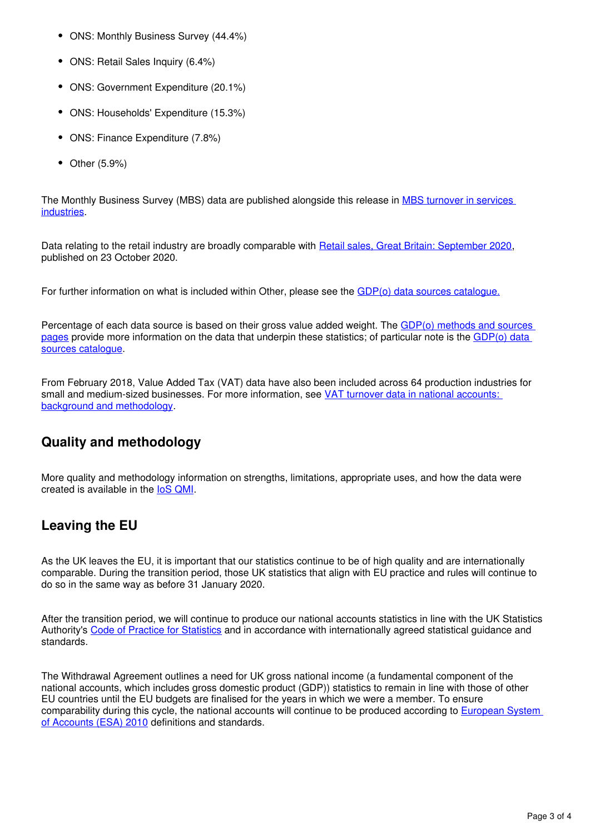- ONS: Monthly Business Survey (44.4%)
- ONS: Retail Sales Inquiry (6.4%)
- ONS: Government Expenditure (20.1%)
- ONS: Households' Expenditure (15.3%)
- ONS: Finance Expenditure (7.8%)
- $\bullet$ Other (5.9%)

The Monthly Business Survey (MBS) data are published alongside this release in [MBS turnover in services](https://www.ons.gov.uk/economy/economicoutputandproductivity/output/datasets/monthlybusinesssurveymbsturnoverofservicesindustries)  [industries.](https://www.ons.gov.uk/economy/economicoutputandproductivity/output/datasets/monthlybusinesssurveymbsturnoverofservicesindustries)

Data relating to the retail industry are broadly comparable with [Retail sales, Great Britain: September 2020,](https://www.ons.gov.uk/businessindustryandtrade/retailindustry/bulletins/retailsales/september2020) published on 23 October 2020.

For further information on what is included within Other, please see the [GDP\(o\) data sources catalogue.](https://www.ons.gov.uk/economy/grossdomesticproductgdp/datasets/gdpodatasourcescatalogue)

Percentage of each data source is based on their gross value added weight. The [GDP\(o\) methods and sources](https://www.ons.gov.uk/economy/economicoutputandproductivity/output/methodologies/indexofservicesios)  [pages](https://www.ons.gov.uk/economy/economicoutputandproductivity/output/methodologies/indexofservicesios) provide more information on the data that underpin these statistics; of particular note is the [GDP\(o\) data](https://www.ons.gov.uk/economy/grossdomesticproductgdp/datasets/gdpodatasourcescatalogue)  [sources catalogue.](https://www.ons.gov.uk/economy/grossdomesticproductgdp/datasets/gdpodatasourcescatalogue)

From February 2018, Value Added Tax (VAT) data have also been included across 64 production industries for small and medium-sized businesses. For more information, see [VAT turnover data in national accounts:](https://www.ons.gov.uk/economy/grossdomesticproductgdp/methodologies/vatturnoverdatainnationalaccountsbackgroundandmethodology)  [background and methodology.](https://www.ons.gov.uk/economy/grossdomesticproductgdp/methodologies/vatturnoverdatainnationalaccountsbackgroundandmethodology)

### **Quality and methodology**

More quality and methodology information on strengths, limitations, appropriate uses, and how the data were created is available in the loS QMI.

### **Leaving the EU**

As the UK leaves the EU, it is important that our statistics continue to be of high quality and are internationally comparable. During the transition period, those UK statistics that align with EU practice and rules will continue to do so in the same way as before 31 January 2020.

After the transition period, we will continue to produce our national accounts statistics in line with the UK Statistics Authority's[Code of Practice for Statistics](https://code.statisticsauthority.gov.uk/) and in accordance with internationally agreed statistical guidance and standards.

The Withdrawal Agreement outlines a need for UK gross national income (a fundamental component of the national accounts, which includes gross domestic product (GDP)) statistics to remain in line with those of other EU countries until the EU budgets are finalised for the years in which we were a member. To ensure comparability during this cycle, the national accounts will continue to be produced according to [European System](https://ec.europa.eu/eurostat/web/products-manuals-and-guidelines/-/KS-02-13-269)  [of Accounts \(ESA\) 2010](https://ec.europa.eu/eurostat/web/products-manuals-and-guidelines/-/KS-02-13-269) definitions and standards.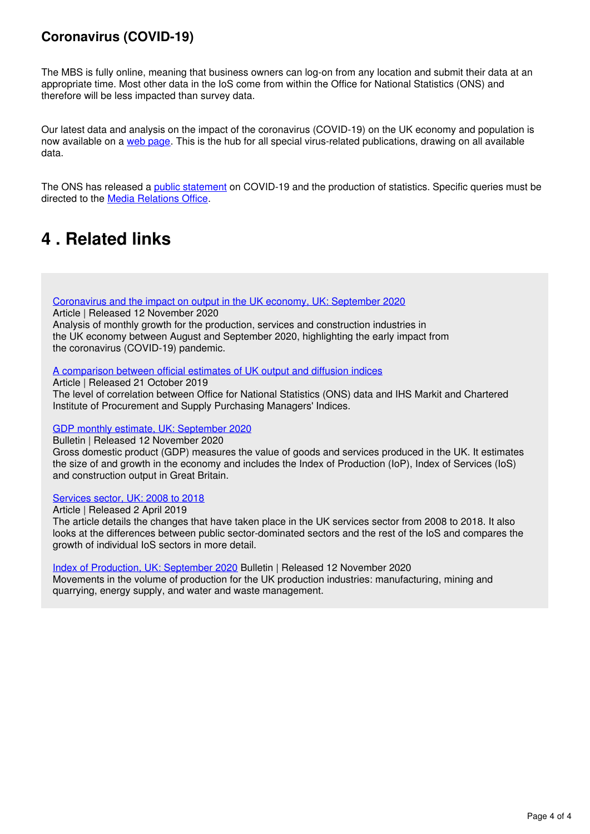### **Coronavirus (COVID-19)**

The MBS is fully online, meaning that business owners can log-on from any location and submit their data at an appropriate time. Most other data in the IoS come from within the Office for National Statistics (ONS) and therefore will be less impacted than survey data.

Our latest data and analysis on the impact of the coronavirus (COVID-19) on the UK economy and population is nowavailable on a [web page](https://www.ons.gov.uk/peoplepopulationandcommunity/healthandsocialcare/conditionsanddiseases). This is the hub for all special virus-related publications, drawing on all available data.

The ONS has released a *[public statement](https://www.ons.gov.uk/news/statementsandletters/covid19andtheproductionofstatistics)* on COVID-19 and the production of statistics. Specific queries must be directedto the **Media Relations Office**.

## <span id="page-3-0"></span>**4 . Related links**

[Coronavirus and the impact on output in the UK economy, UK: September 2020](https://www.ons.gov.uk/economy/grossdomesticproductgdp/articles/coronavirusandtheimpactonoutputintheukeconomy/June2020)

Article | Released 12 November 2020

Analysis of monthly growth for the production, services and construction industries in the UK economy between August and September 2020, highlighting the early impact from the coronavirus (COVID-19) pandemic.

[A comparison between official estimates of UK output and diffusion indices](https://www.ons.gov.uk/economy/nationalaccounts/uksectoraccounts/compendium/economicreview/october2019/comparingonsseconomicdatawithihsmarkitandcipspurchasingmanagersindexsurveys)

Article | Released 21 October 2019 The level of correlation between Office for National Statistics (ONS) data and IHS Markit and Chartered Institute of Procurement and Supply Purchasing Managers' Indices.

### [GDP monthly estimate, UK: September 2020](https://www.ons.gov.uk/economy/grossdomesticproductgdp/bulletins/gdpmonthlyestimateuk/september2020)

Bulletin | Released 12 November 2020

Gross domestic product (GDP) measures the value of goods and services produced in the UK. It estimates the size of and growth in the economy and includes the Index of Production (IoP), Index of Services (IoS) and construction output in Great Britain.

### [Services sector, UK: 2008 to 2018](https://www.ons.gov.uk/economy/economicoutputandproductivity/output/articles/servicessectoruk/2008to2018)

Article | Released 2 April 2019

The article details the changes that have taken place in the UK services sector from 2008 to 2018. It also looks at the differences between public sector-dominated sectors and the rest of the IoS and compares the growth of individual IoS sectors in more detail.

[Index of Production, UK: September 2020](https://www.ons.gov.uk/economy/economicoutputandproductivity/output/bulletins/indexofproduction/september2020) Bulletin | Released 12 November 2020

Movements in the volume of production for the UK production industries: manufacturing, mining and quarrying, energy supply, and water and waste management.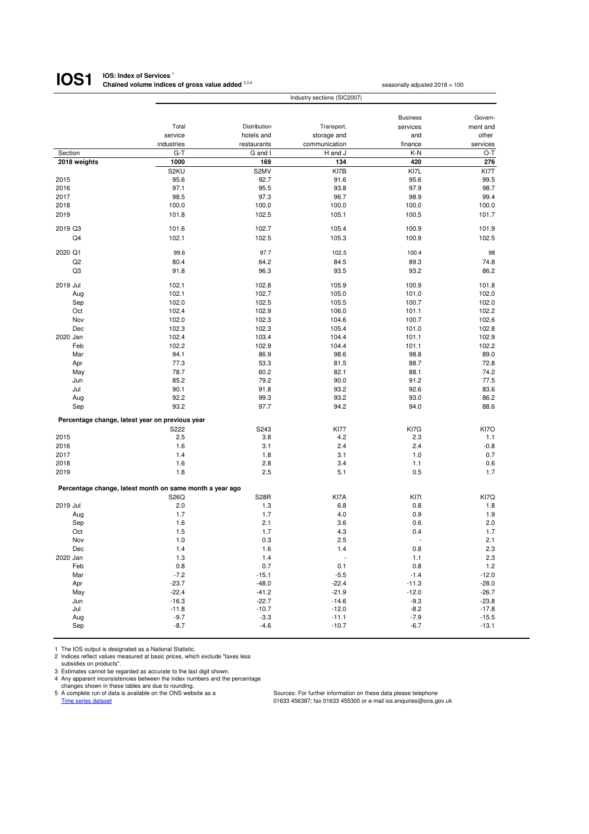#### **IOS: Index of Services**<sup>1</sup> **Chained volume indices of gross value added** <sup>2,3,4</sup> seasonally adjusted 2018 = 100 **IOS1**

|              |                                                          | Industry sections (SIC2007) |               |                 |          |  |  |
|--------------|----------------------------------------------------------|-----------------------------|---------------|-----------------|----------|--|--|
|              |                                                          |                             |               |                 |          |  |  |
|              |                                                          |                             |               | <b>Business</b> | Govern-  |  |  |
|              | Total                                                    | Distribution                | Transport,    | services        | ment and |  |  |
|              | service                                                  | hotels and                  | storage and   | and             | other    |  |  |
|              | industries                                               | restaurants                 | communication | finance         | services |  |  |
| Section      | $G-T$                                                    | G and I                     | H and J       | $K-N$           | $O-T$    |  |  |
| 2018 weights | 1000                                                     | 169                         | 134           | 420             | 276      |  |  |
|              | S <sub>2</sub> KU                                        | S2MV                        | KI7B          | KI7L            | KI7T     |  |  |
| 2015         | 95.6                                                     | 92.7                        | 91.6          | 95.6            | 99.5     |  |  |
| 2016         | 97.1                                                     | 95.5                        | 93.8          | 97.9            | 98.7     |  |  |
| 2017         | 98.5                                                     | 97.3                        | 96.7          | 98.9            | 99.4     |  |  |
| 2018         | 100.0                                                    | 100.0                       | 100.0         | 100.0           | 100.0    |  |  |
| 2019         | 101.8                                                    | 102.5                       | 105.1         | 100.5           | 101.7    |  |  |
| 2019 Q3      | 101.6                                                    | 102.7                       | 105.4         | 100.9           | 101.9    |  |  |
| Q4           | 102.1                                                    | 102.5                       | 105.3         | 100.9           | 102.5    |  |  |
| 2020 Q1      | 99.6                                                     | 97.7                        | 102.5         | 100.4           | 98       |  |  |
| Q2           | 80.4                                                     | 64.2                        | 84.5          | 89.3            | 74.8     |  |  |
| Q3           | 91.8                                                     | 96.3                        | 93.5          | 93.2            | 86.2     |  |  |
| 2019 Jul     | 102.1                                                    | 102.8                       | 105.9         | 100.9           | 101.8    |  |  |
| Aug          | 102.1                                                    | 102.7                       | 105.0         | 101.0           | 102.0    |  |  |
| Sep          | 102.0                                                    | 102.5                       | 105.5         | 100.7           | 102.0    |  |  |
|              | 102.4                                                    |                             | 106.0         |                 | 102.2    |  |  |
| Oct          |                                                          | 102.9                       |               | 101.1           |          |  |  |
| Nov          | 102.0                                                    | 102.3                       | 104.6         | 100.7           | 102.6    |  |  |
| Dec          | 102.3                                                    | 102.3                       | 105.4         | 101.0           | 102.8    |  |  |
| 2020 Jan     | 102.4                                                    | 103.4                       | 104.4         | 101.1           | 102.9    |  |  |
| Feb          | 102.2                                                    | 102.9                       | 104.4         | 101.1           | 102.2    |  |  |
| Mar          | 94.1                                                     | 86.9                        | 98.6          | 98.8            | 89.0     |  |  |
| Apr          | 77.3                                                     | 53.3                        | 81.5          | 88.7            | 72.8     |  |  |
| May          | 78.7                                                     | 60.2                        | 82.1          | 88.1            | 74.2     |  |  |
| Jun          | 85.2                                                     | 79.2                        | 90.0          | 91.2            | 77.5     |  |  |
| Jul          | 90.1                                                     | 91.8                        | 93.2          | 92.6            | 83.6     |  |  |
| Aug          | 92.2                                                     | 99.3                        | 93.2          | 93.0            | 86.2     |  |  |
| Sep          | 93.2                                                     | 97.7                        | 94.2          | 94.0            | 88.6     |  |  |
|              | Percentage change, latest year on previous year          |                             |               |                 |          |  |  |
|              | S222                                                     | S243                        | <b>KI77</b>   | KI7G            | KI7O     |  |  |
| 2015         | 2.5                                                      | 3.8                         | 4.2           | 2.3             | 1.1      |  |  |
| 2016         | 1.6                                                      | 3.1                         | 2.4           | 2.4             | $-0.8$   |  |  |
| 2017         | 1.4                                                      | 1.8                         | 3.1           | 1.0             | 0.7      |  |  |
| 2018         | 1.6                                                      | 2.8                         | 3.4           | 1.1             | 0.6      |  |  |
| 2019         | 1.8                                                      | 2.5                         | 5.1           | 0.5             | 1.7      |  |  |
|              | Percentage change, latest month on same month a year ago |                             |               |                 |          |  |  |
|              | S26Q                                                     | <b>S28R</b>                 | KI7A          | KI7I            | KI7Q     |  |  |
| 2019 Jul     | 2.0                                                      | 1.3                         | 6.8           | 0.8             | 1.8      |  |  |
| Aug          | 1.7                                                      | 1.7                         | 4.0           | 0.9             | 1.9      |  |  |
| Sep          | 1.6                                                      | 2.1                         | 3.6           | 0.6             | 2.0      |  |  |
| Oct          | 1.5                                                      | 1.7                         | 4.3           | 0.4             | 1.7      |  |  |
| Nov          | 1.0                                                      | 0.3                         | 2.5           |                 | 2.1      |  |  |
|              |                                                          |                             |               |                 |          |  |  |
| Dec          | 1.4                                                      | 1.6                         | 1.4           | 0.8             | 2.3      |  |  |
| 2020 Jan     | 1.3                                                      | $1.4$                       |               | 1.1             | 2.3      |  |  |
| Feb          | 0.8                                                      | 0.7                         | 0.1           | 0.8             | 1.2      |  |  |
| Mar          | $-7.2$                                                   | $-15.1$                     | $-5.5$        | $-1.4$          | $-12.0$  |  |  |
| Apr          | $-23.7$                                                  | $-48.0$                     | $-22.4$       | $-11.3$         | $-28.0$  |  |  |
| May          | $-22.4$                                                  | $-41.2$                     | $-21.9$       | $-12.0$         | $-26.7$  |  |  |
| Jun          | $-16.3$                                                  | $-22.7$                     | $-14.6$       | $-9.3$          | $-23.8$  |  |  |
| Jul          | $-11.8$                                                  | $-10.7$                     | $-12.0$       | $-8.2$          | $-17.8$  |  |  |
| Aug          | $-9.7$                                                   | $-3.3$                      | $-11.1$       | $-7.9$          | $-15.5$  |  |  |
| Sep          | $-8.7$                                                   | $-4.6$                      | $-10.7$       | $-6.7$          | $-13.1$  |  |  |

1 The IOS output is designated as a National Statistic.

2 Indices reflect values measured at basic prices, which exclude "taxes less subsidies on products".

3 Estimates cannot be regarded as accurate to the last digit shown.

4 Any apparent inconsistencies between the index numbers and the percentage

changes shown in these tables are due to rounding.<br>5 A complete run of data is available on the ONS website as a A complete run of data is available on the ONS website as a Sources: For further information on these data please telephone<br>
Time series dataset<br>
Time series dataset

 $01633$  456387; fax 01633 455300 or e-mail ios.enquiries@ons.gov.uk